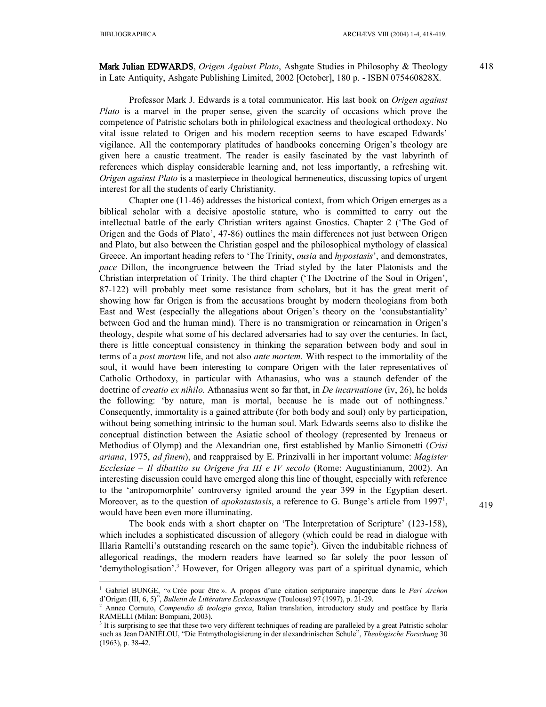<u>.</u>

## **Mark Julian EDWARDS**, *Origen Against Plato*, Ashgate Studies in Philosophy & Theology in Late Antiquity, Ashgate Publishing Limited, 2002 [October], 180 p. - ISBN 075460828X.

Professor Mark J. Edwards is a total communicator. His last book on *Origen against Plato* is a marvel in the proper sense, given the scarcity of occasions which prove the competence of Patristic scholars both in philological exactness and theological orthodoxy. No vital issue related to Origen and his modern reception seems to have escaped Edwards' vigilance. All the contemporary platitudes of handbooks concerning Origen's theology are given here a caustic treatment. The reader is easily fascinated by the vast labyrinth of references which display considerable learning and, not less importantly, a refreshing wit. *Origen against Plato* is a masterpiece in theological hermeneutics, discussing topics of urgent interest for all the students of early Christianity.

Chapter one (11-46) addresses the historical context, from which Origen emerges as a biblical scholar with a decisive apostolic stature, who is committed to carry out the intellectual battle of the early Christian writers against Gnostics. Chapter 2 ('The God of Origen and the Gods of Plato', 47-86) outlines the main differences not just between Origen and Plato, but also between the Christian gospel and the philosophical mythology of classical Greece. An important heading refers to 'The Trinity, *ousia* and *hypostasis*', and demonstrates, *pace* Dillon, the incongruence between the Triad styled by the later Platonists and the Christian interpretation of Trinity. The third chapter ('The Doctrine of the Soul in Origen', 87-122) will probably meet some resistance from scholars, but it has the great merit of showing how far Origen is from the accusations brought by modern theologians from both East and West (especially the allegations about Origen's theory on the 'consubstantiality' between God and the human mind). There is no transmigration or reincarnation in Origen's theology, despite what some of his declared adversaries had to say over the centuries. In fact, there is little conceptual consistency in thinking the separation between body and soul in terms of a *post mortem* life, and not also *ante mortem*. With respect to the immortality of the soul, it would have been interesting to compare Origen with the later representatives of Catholic Orthodoxy, in particular with Athanasius, who was a staunch defender of the doctrine of *creatio ex nihilo*. Athanasius went so far that, in *De incarnatione* (iv, 26), he holds the following: 'by nature, man is mortal, because he is made out of nothingness.' Consequently, immortality is a gained attribute (for both body and soul) only by participation, without being something intrinsic to the human soul. Mark Edwards seems also to dislike the conceptual distinction between the Asiatic school of theology (represented by Irenaeus or Methodius of Olymp) and the Alexandrian one, first established by Manlio Simonetti (*Crisi ariana*, 1975, *ad finem*), and reappraised by E. Prinzivalli in her important volume: *Magister Ecclesiae – Il dibattito su Origene fra III e IV secolo* (Rome: Augustinianum, 2002). An interesting discussion could have emerged along this line of thought, especially with reference to the 'antropomorphite' controversy ignited around the year 399 in the Egyptian desert. Moreover, as to the question of *apokatastasis*, a reference to G. Bunge's article from 1997<sup>1</sup>, would have been even more illuminating.

The book ends with a short chapter on 'The Interpretation of Scripture' (123-158), which includes a sophisticated discussion of allegory (which could be read in dialogue with Illaria Ramelli's outstanding research on the same topic<sup>2</sup>). Given the indubitable richness of allegorical readings, the modern readers have learned so far solely the poor lesson of 'demythologisation'.<sup>3</sup> However, for Origen allegory was part of a spiritual dynamic, which 419

<sup>1</sup> Gabriel BUNGE, "« Crée pour être ». A propos d'une citation scripturaire inaperçue dans le *Peri Archon* d'Origen (III, 6, 5)", *Bulletin de Littérature Ecclesiastique* (Toulouse) 97 (1997), p. 21-29.

<sup>2</sup> Anneo Cornuto, *Compendio di teologia greca*, Italian translation, introductory study and postface by Ilaria RAMELLI (Milan: Bompiani, 2003).

<sup>&</sup>lt;sup>3</sup> It is surprising to see that these two very different techniques of reading are paralleled by a great Patristic scholar such as Jean DANIÉLOU, "Die Entmythologisierung in der alexandrinischen Schule", *Theologische Forschung* 30 (1963), p. 38-42.